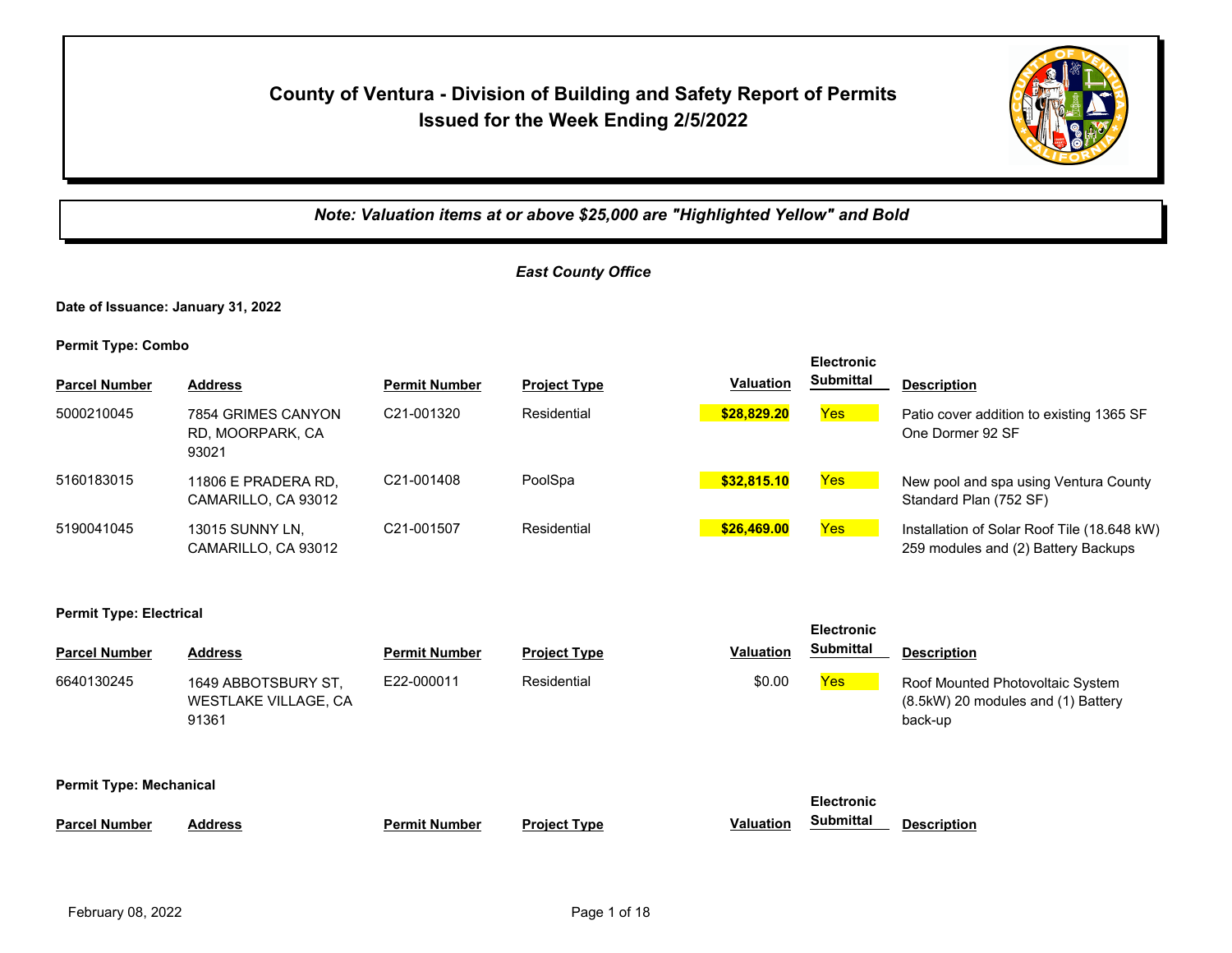## **County of Ventura - Division of Building and Safety Report of Permits Issued for the Week Ending 2/5/2022**



*Note: Valuation items at or above \$25,000 are "Highlighted Yellow" and Bold*

## *East County Office*

**Date of Issuance: January 31, 2022**

|                      |                                                 |                      |                     |                  | <b>Electronic</b> |                                                                                    |
|----------------------|-------------------------------------------------|----------------------|---------------------|------------------|-------------------|------------------------------------------------------------------------------------|
| <b>Parcel Number</b> | <b>Address</b>                                  | <b>Permit Number</b> | <b>Project Type</b> | <b>Valuation</b> | <b>Submittal</b>  | <b>Description</b>                                                                 |
| 5000210045           | 7854 GRIMES CANYON<br>RD, MOORPARK, CA<br>93021 | C21-001320           | Residential         | \$28,829.20      | Yes               | Patio cover addition to existing 1365 SF<br>One Dormer 92 SF                       |
| 5160183015           | 11806 E PRADERA RD.<br>CAMARILLO, CA 93012      | C21-001408           | PoolSpa             | \$32,815.10      | Yes               | New pool and spa using Ventura County<br>Standard Plan (752 SF)                    |
| 5190041045           | <b>13015 SUNNY LN.</b><br>CAMARILLO, CA 93012   | C21-001507           | Residential         | \$26,469.00      | Yes               | Installation of Solar Roof Tile (18.648 kW)<br>259 modules and (2) Battery Backups |

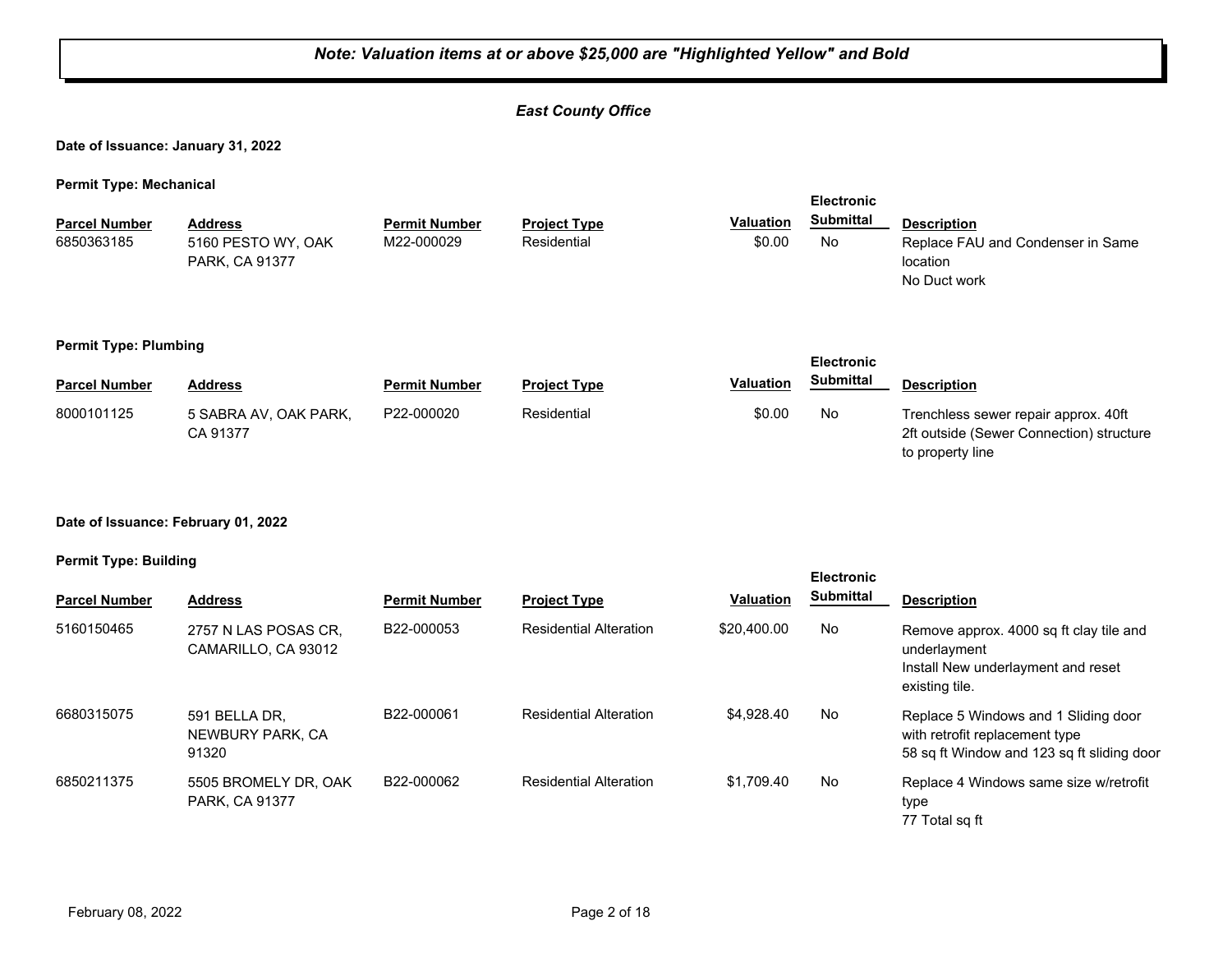## *East County Office*

**Date of Issuance: January 31, 2022**

**Permit Type: Mechanical**

| <b>Parcel Number</b><br>6850363185 | <b>Address</b><br>5160 PESTO WY, OAK<br>PARK, CA 91377 | <b>Permit Number</b><br>M22-000029 | <b>Project Type</b><br>Residential | <b>Valuation</b><br>\$0.00 | <b>Electronic</b><br><b>Submittal</b><br>No | <b>Description</b><br>Replace FAU and Condenser in Same<br>location<br>No Duct work                  |
|------------------------------------|--------------------------------------------------------|------------------------------------|------------------------------------|----------------------------|---------------------------------------------|------------------------------------------------------------------------------------------------------|
| <b>Permit Type: Plumbing</b>       |                                                        |                                    |                                    |                            | <b>Electronic</b>                           |                                                                                                      |
| <b>Parcel Number</b>               | <b>Address</b>                                         | <b>Permit Number</b>               | <b>Project Type</b>                | <b>Valuation</b>           | <b>Submittal</b>                            | <b>Description</b>                                                                                   |
| 8000101125                         | 5 SABRA AV. OAK PARK.<br>CA 91377                      | P22-000020                         | Residential                        | \$0.00                     | No                                          | Trenchless sewer repair approx. 40ft<br>2ft outside (Sewer Connection) structure<br>to property line |

#### **Date of Issuance: February 01, 2022**

#### **Permit Type: Building**

| <b>Parcel Number</b> | <b>Address</b>                              | <b>Permit Number</b> | <b>Project Type</b>           | <b>Valuation</b> | <b>Electronic</b><br>Submittal | <b>Description</b>                                                                                                   |
|----------------------|---------------------------------------------|----------------------|-------------------------------|------------------|--------------------------------|----------------------------------------------------------------------------------------------------------------------|
| 5160150465           | 2757 N LAS POSAS CR,<br>CAMARILLO, CA 93012 | B22-000053           | <b>Residential Alteration</b> | \$20,400.00      | No                             | Remove approx. 4000 sq ft clay tile and<br>underlayment<br>Install New underlayment and reset<br>existing tile.      |
| 6680315075           | 591 BELLA DR.<br>NEWBURY PARK, CA<br>91320  | B22-000061           | <b>Residential Alteration</b> | \$4,928,40       | No                             | Replace 5 Windows and 1 Sliding door<br>with retrofit replacement type<br>58 sq ft Window and 123 sq ft sliding door |
| 6850211375           | 5505 BROMELY DR, OAK<br>PARK, CA 91377      | B22-000062           | <b>Residential Alteration</b> | \$1.709.40       | No                             | Replace 4 Windows same size w/retrofit<br>type<br>77 Total sq ft                                                     |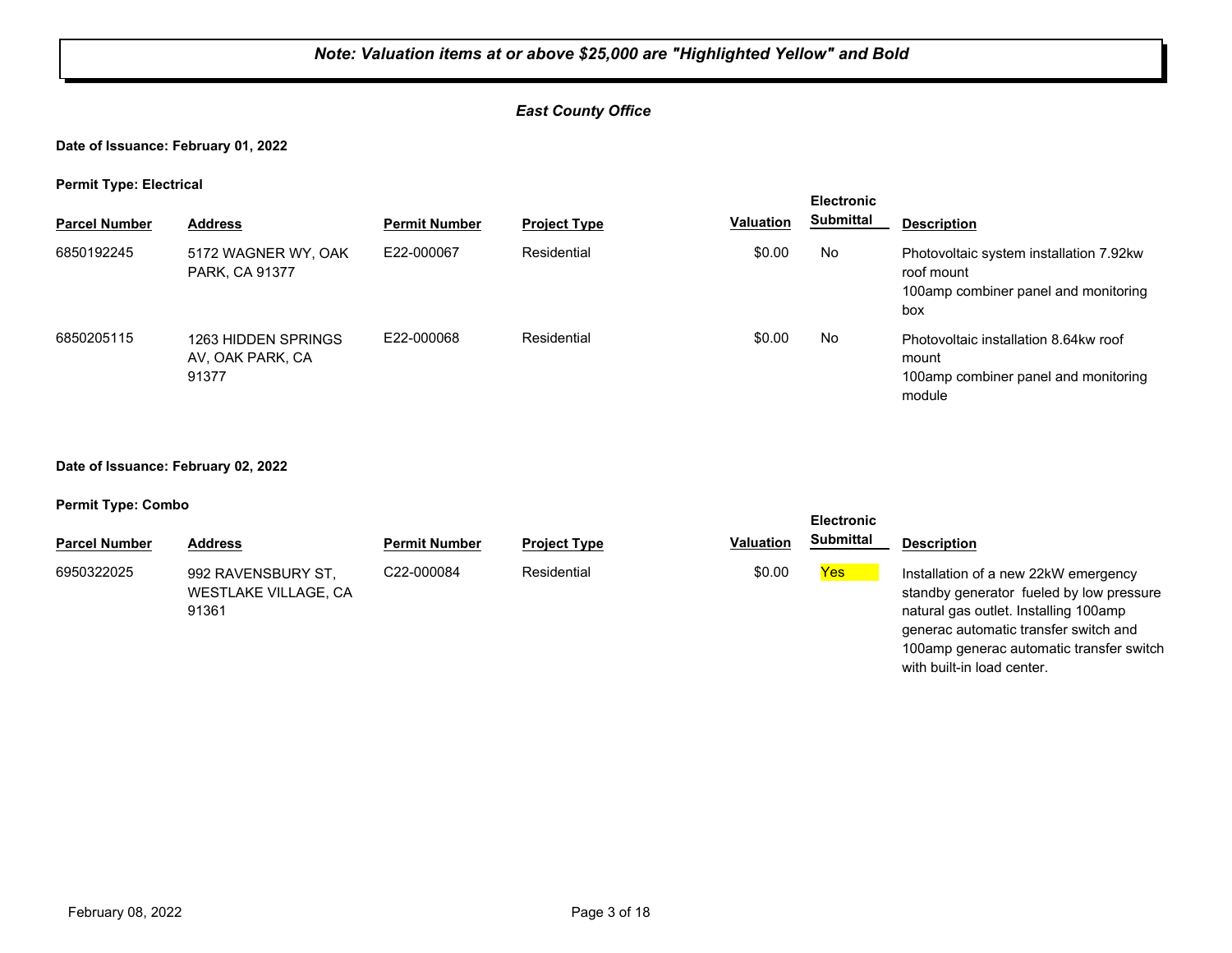## *East County Office*

#### **Date of Issuance: February 01, 2022**

#### **Permit Type: Electrical**

| .  . , <b>,</b>      |                                                  |                      |                     |                  | <b>Electronic</b> |                                                                                                      |
|----------------------|--------------------------------------------------|----------------------|---------------------|------------------|-------------------|------------------------------------------------------------------------------------------------------|
| <b>Parcel Number</b> | <b>Address</b>                                   | <b>Permit Number</b> | <b>Project Type</b> | <b>Valuation</b> | Submittal         | <b>Description</b>                                                                                   |
| 6850192245           | 5172 WAGNER WY, OAK<br>PARK, CA 91377            | E22-000067           | Residential         | \$0.00           | No                | Photovoltaic system installation 7.92kw<br>roof mount<br>100amp combiner panel and monitoring<br>box |
| 6850205115           | 1263 HIDDEN SPRINGS<br>AV, OAK PARK, CA<br>91377 | E22-000068           | Residential         | \$0.00           | No                | Photovoltaic installation 8.64kw roof<br>mount<br>100amp combiner panel and monitoring<br>module     |

#### **Date of Issuance: February 02, 2022**

#### **Permit Type: Combo**

|                      |                                                            |                      |                     |                  | <b>Electronic</b> |                                                                                                                                                                                                                |
|----------------------|------------------------------------------------------------|----------------------|---------------------|------------------|-------------------|----------------------------------------------------------------------------------------------------------------------------------------------------------------------------------------------------------------|
| <b>Parcel Number</b> | <b>Address</b>                                             | <b>Permit Number</b> | <b>Project Type</b> | <b>Valuation</b> | <b>Submittal</b>  | <b>Description</b>                                                                                                                                                                                             |
| 6950322025           | 992 RAVENSBURY ST,<br><b>WESTLAKE VILLAGE, CA</b><br>91361 | C22-000084           | Residential         | \$0.00           | <b>Yes</b>        | Installation of a new 22kW emergency<br>standby generator fueled by low pressure<br>natural gas outlet. Installing 100amp<br>generac automatic transfer switch and<br>100amp generac automatic transfer switch |

with built-in load center.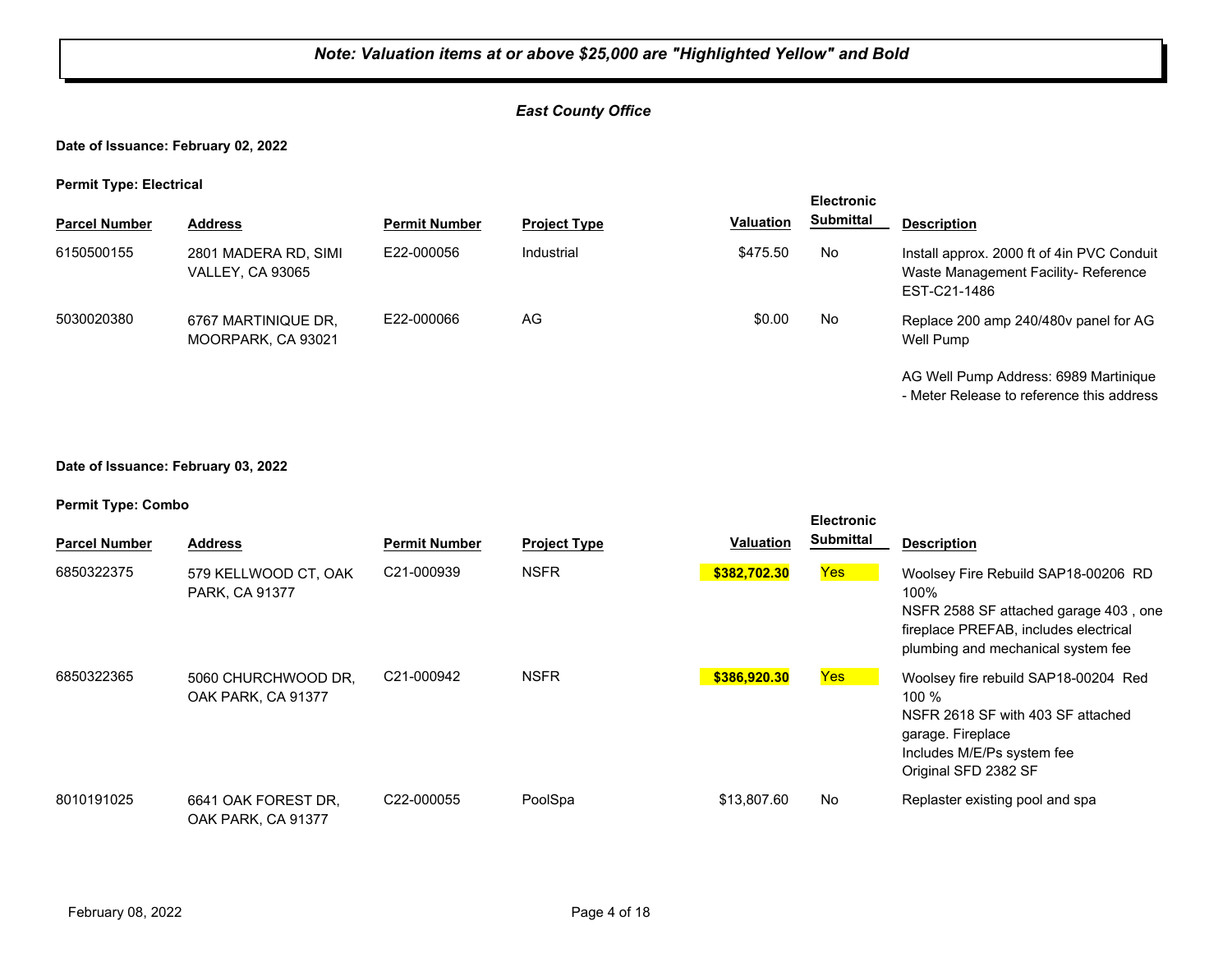## *East County Office*

#### **Date of Issuance: February 02, 2022**

#### **Permit Type: Electrical**

|                      |                                                 |                      |                     |                  |                  | <b>Electronic</b>                                                                                 |  |  |
|----------------------|-------------------------------------------------|----------------------|---------------------|------------------|------------------|---------------------------------------------------------------------------------------------------|--|--|
| <b>Parcel Number</b> | <b>Address</b>                                  | <b>Permit Number</b> | <b>Project Type</b> | <b>Valuation</b> | <b>Submittal</b> | <b>Description</b>                                                                                |  |  |
| 6150500155           | 2801 MADERA RD, SIMI<br><b>VALLEY, CA 93065</b> | E22-000056           | Industrial          | \$475.50         | No               | Install approx. 2000 ft of 4in PVC Conduit<br>Waste Management Facility-Reference<br>EST-C21-1486 |  |  |
| 5030020380           | 6767 MARTINIQUE DR.<br>MOORPARK, CA 93021       | E22-000066           | AG                  | \$0.00           | No               | Replace 200 amp 240/480y panel for AG<br>Well Pump                                                |  |  |
|                      |                                                 |                      |                     |                  |                  | AG Well Pump Address: 6989 Martinique<br>- Meter Release to reference this address                |  |  |

#### **Date of Issuance: February 03, 2022**

| <b>Parcel Number</b> | <b>Address</b>                            | <b>Permit Number</b>    | <b>Project Type</b> | Valuation    | <b>Electronic</b><br><b>Submittal</b> | <b>Description</b>                                                                                                                                                  |
|----------------------|-------------------------------------------|-------------------------|---------------------|--------------|---------------------------------------|---------------------------------------------------------------------------------------------------------------------------------------------------------------------|
| 6850322375           | 579 KELLWOOD CT, OAK<br>PARK, CA 91377    | C <sub>21</sub> -000939 | <b>NSFR</b>         | \$382.702.30 | Yes                                   | Woolsey Fire Rebuild SAP18-00206 RD<br>100%<br>NSFR 2588 SF attached garage 403, one<br>fireplace PREFAB, includes electrical<br>plumbing and mechanical system fee |
| 6850322365           | 5060 CHURCHWOOD DR.<br>OAK PARK, CA 91377 | C21-000942              | <b>NSFR</b>         | \$386,920.30 | Yes                                   | Woolsey fire rebuild SAP18-00204 Red<br>$100 \%$<br>NSFR 2618 SF with 403 SF attached<br>garage. Fireplace<br>Includes M/E/Ps system fee<br>Original SFD 2382 SF    |
| 8010191025           | 6641 OAK FOREST DR.<br>OAK PARK, CA 91377 | C22-000055              | PoolSpa             | \$13,807.60  | No                                    | Replaster existing pool and spa                                                                                                                                     |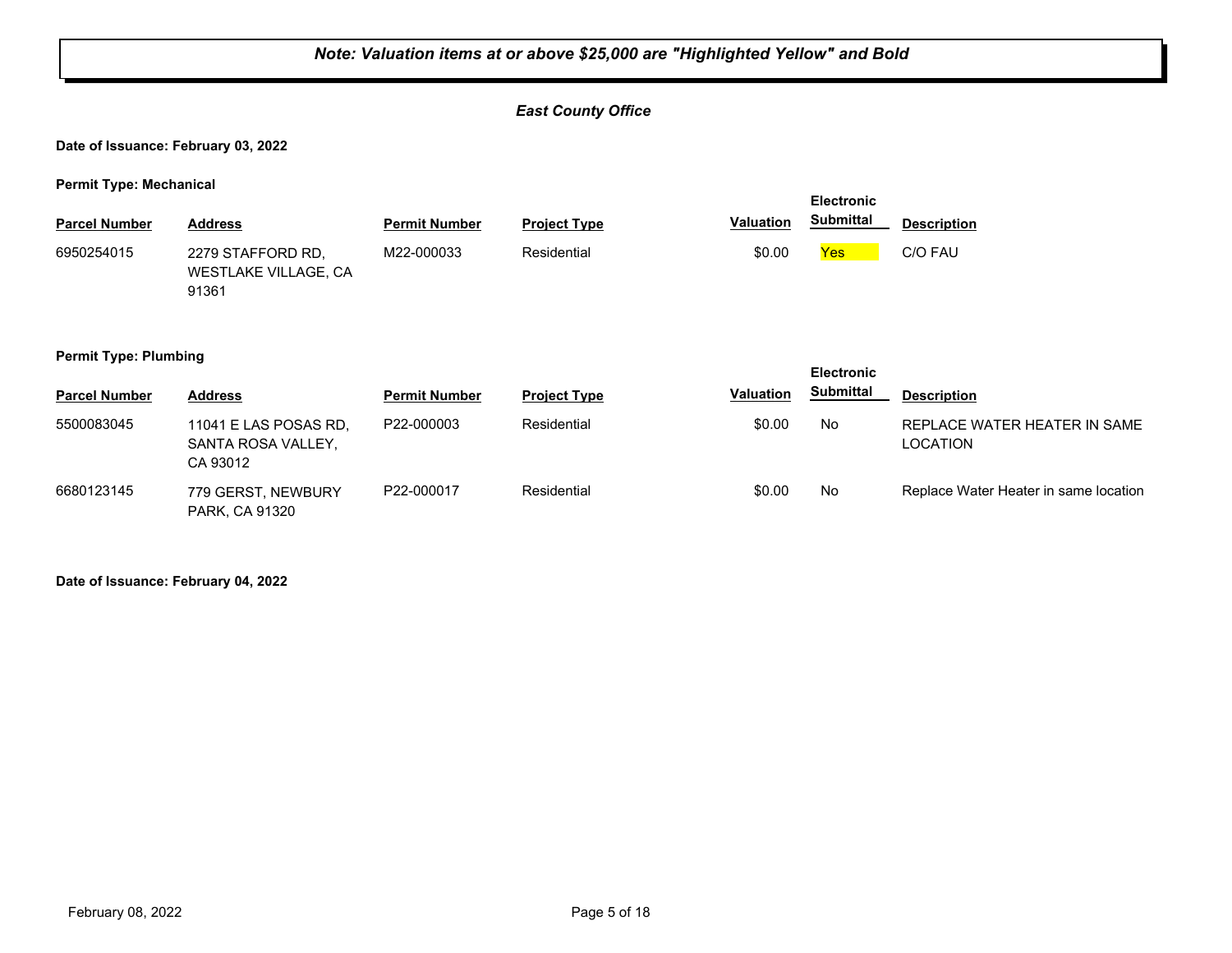## *East County Office*

**Date of Issuance: February 03, 2022**

**Permit Type: Mechanical**

| <b>Parcel Number</b> | <b>Address</b>                                     | <b>Permit Number</b> | <b>Project Type</b> | <b>Valuation</b> | <b>Electronic</b><br><b>Submittal</b> | <b>Description</b> |
|----------------------|----------------------------------------------------|----------------------|---------------------|------------------|---------------------------------------|--------------------|
| 6950254015           | 2279 STAFFORD RD.<br>WESTLAKE VILLAGE, CA<br>91361 | M22-000033           | Residential         | \$0.00           | Yes                                   | C/O FAU            |

#### **Permit Type: Plumbing**

| .                    | . .                                                     |                      |                     |                  | <b>Electronic</b> |                                                 |
|----------------------|---------------------------------------------------------|----------------------|---------------------|------------------|-------------------|-------------------------------------------------|
| <b>Parcel Number</b> | <b>Address</b>                                          | <b>Permit Number</b> | <b>Project Type</b> | <b>Valuation</b> | <b>Submittal</b>  | <b>Description</b>                              |
| 5500083045           | 11041 E LAS POSAS RD,<br>SANTA ROSA VALLEY.<br>CA 93012 | P22-000003           | Residential         | \$0.00           | No                | REPLACE WATER HEATER IN SAME<br><b>LOCATION</b> |
| 6680123145           | 779 GERST, NEWBURY<br>PARK, CA 91320                    | P22-000017           | Residential         | \$0.00           | No                | Replace Water Heater in same location           |

**Date of Issuance: February 04, 2022**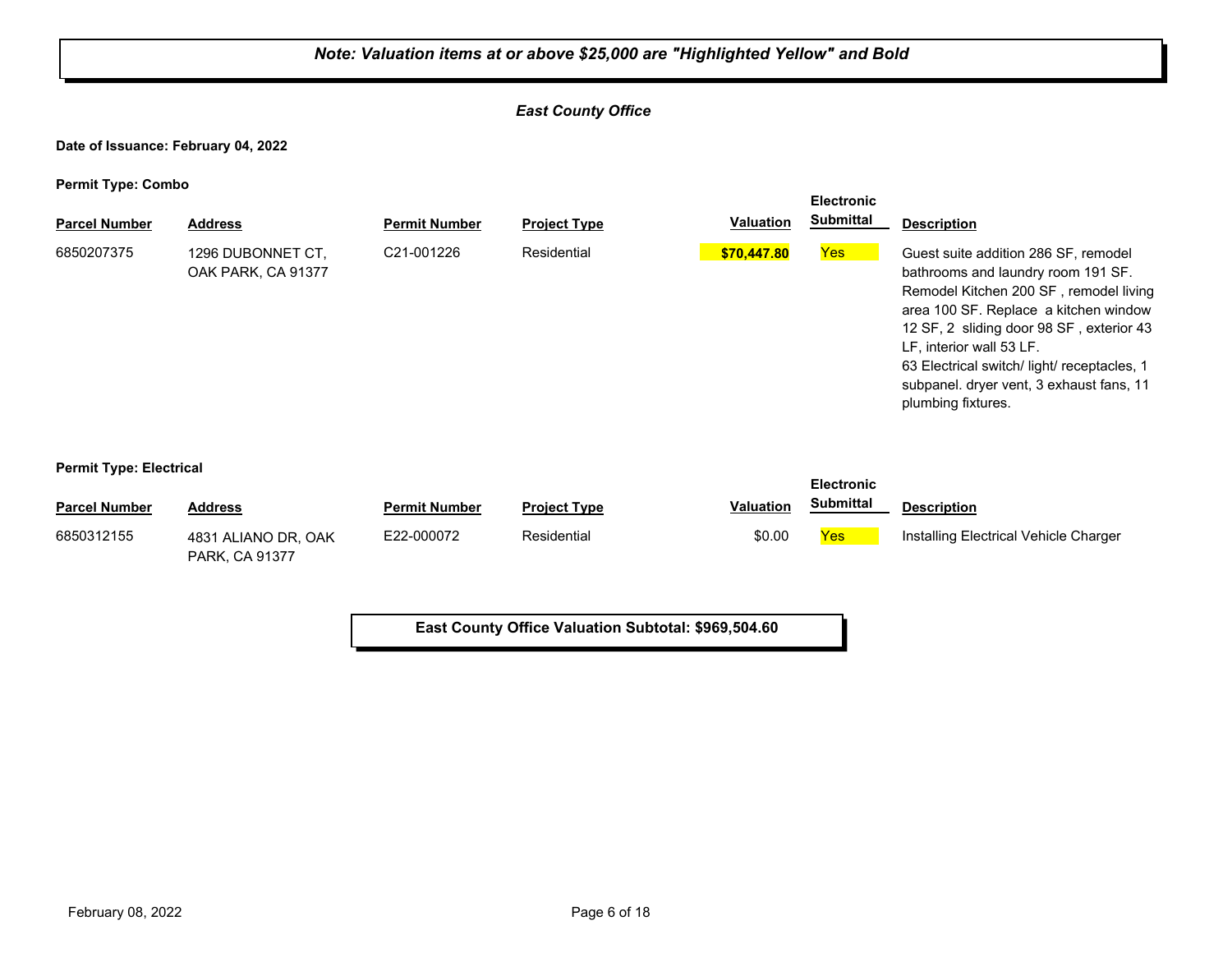## *East County Office*

**Date of Issuance: February 04, 2022**

**Permit Type: Combo**

| . .<br><b>Parcel Number</b> | <b>Address</b>                          | <b>Permit Number</b>    | <b>Project Type</b> | <b>Valuation</b> | <b>Electronic</b><br><b>Submittal</b> | <b>Description</b>                                                                                                                                                                                                                                                                                                                                     |
|-----------------------------|-----------------------------------------|-------------------------|---------------------|------------------|---------------------------------------|--------------------------------------------------------------------------------------------------------------------------------------------------------------------------------------------------------------------------------------------------------------------------------------------------------------------------------------------------------|
| 6850207375                  | 1296 DUBONNET CT.<br>OAK PARK, CA 91377 | C <sub>21</sub> -001226 | Residential         | \$70,447.80      | <b>Yes</b>                            | Guest suite addition 286 SF, remodel<br>bathrooms and laundry room 191 SF.<br>Remodel Kitchen 200 SF, remodel living<br>area 100 SF. Replace a kitchen window<br>12 SF, 2 sliding door 98 SF, exterior 43<br>LF, interior wall 53 LF.<br>63 Electrical switch/ light/ receptacles, 1<br>subpanel. dryer vent, 3 exhaust fans, 11<br>plumbing fixtures. |

#### **Permit Type: Electrical**

| <b>Parcel Number</b> | <b>Address</b>                               | <b>Permit Number</b> | <b>Project Type</b> | <b>Valuation</b> | <b>Submittal</b> | <b>Description</b>                    |
|----------------------|----------------------------------------------|----------------------|---------------------|------------------|------------------|---------------------------------------|
| 6850312155           | 4831 ALIANO DR, OAK<br><b>PARK, CA 91377</b> | E22-000072           | Residential         | \$0.00           | Yes              | Installing Electrical Vehicle Charger |

**East County Office Valuation Subtotal: \$969,504.60**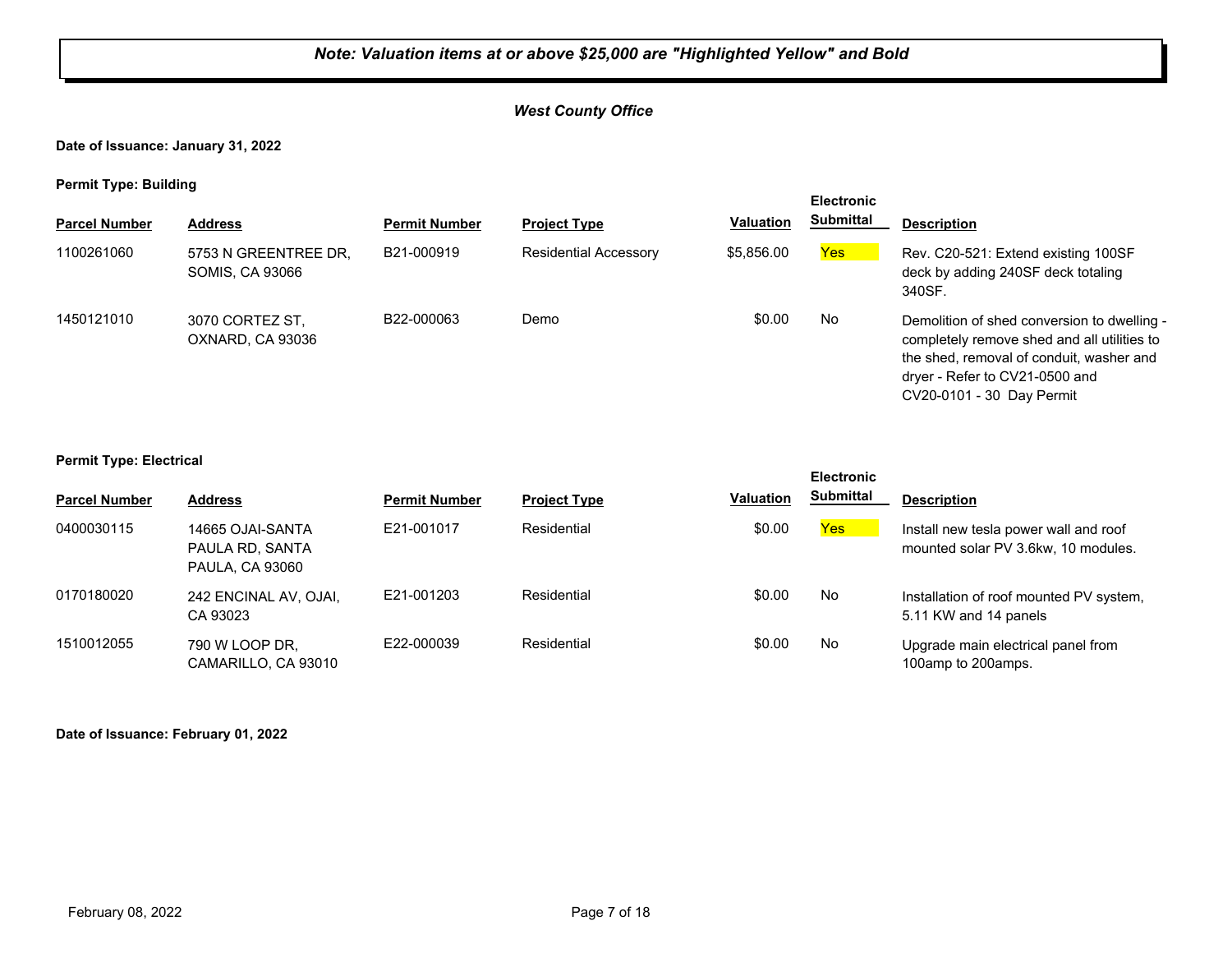## *West County Office*

**Date of Issuance: January 31, 2022**

**Permit Type: Building**

| . .                  |                                                |                      |                              |                  | <b>Electronic</b> |                                                                                                                                                                                                       |
|----------------------|------------------------------------------------|----------------------|------------------------------|------------------|-------------------|-------------------------------------------------------------------------------------------------------------------------------------------------------------------------------------------------------|
| <b>Parcel Number</b> | <b>Address</b>                                 | <b>Permit Number</b> | <b>Project Type</b>          | <b>Valuation</b> | <b>Submittal</b>  | <b>Description</b>                                                                                                                                                                                    |
| 1100261060           | 5753 N GREENTREE DR,<br><b>SOMIS, CA 93066</b> | B21-000919           | <b>Residential Accessory</b> | \$5,856.00       | Yes <sub>l</sub>  | Rev. C20-521: Extend existing 100SF<br>deck by adding 240SF deck totaling<br>340SF.                                                                                                                   |
| 1450121010           | 3070 CORTEZ ST.<br>OXNARD, CA 93036            | B22-000063           | Demo                         | \$0.00           | No                | Demolition of shed conversion to dwelling -<br>completely remove shed and all utilities to<br>the shed, removal of conduit, washer and<br>dryer - Refer to CV21-0500 and<br>CV20-0101 - 30 Day Permit |

#### **Permit Type: Electrical**

|                      |                                                               |                      |                     |                  | <b>Electronic</b> |                                                                              |
|----------------------|---------------------------------------------------------------|----------------------|---------------------|------------------|-------------------|------------------------------------------------------------------------------|
| <b>Parcel Number</b> | <b>Address</b>                                                | <b>Permit Number</b> | <b>Project Type</b> | <b>Valuation</b> | Submittal         | <b>Description</b>                                                           |
| 0400030115           | 14665 OJAI-SANTA<br>PAULA RD, SANTA<br><b>PAULA, CA 93060</b> | E21-001017           | Residential         | \$0.00           | Yes               | Install new tesla power wall and roof<br>mounted solar PV 3.6kw, 10 modules. |
| 0170180020           | 242 ENCINAL AV, OJAI,<br>CA 93023                             | E21-001203           | Residential         | \$0.00           | No.               | Installation of roof mounted PV system,<br>5.11 KW and 14 panels             |
| 1510012055           | 790 W LOOP DR.<br>CAMARILLO, CA 93010                         | E22-000039           | Residential         | \$0.00           | No.               | Upgrade main electrical panel from<br>100amp to 200amps.                     |

#### **Date of Issuance: February 01, 2022**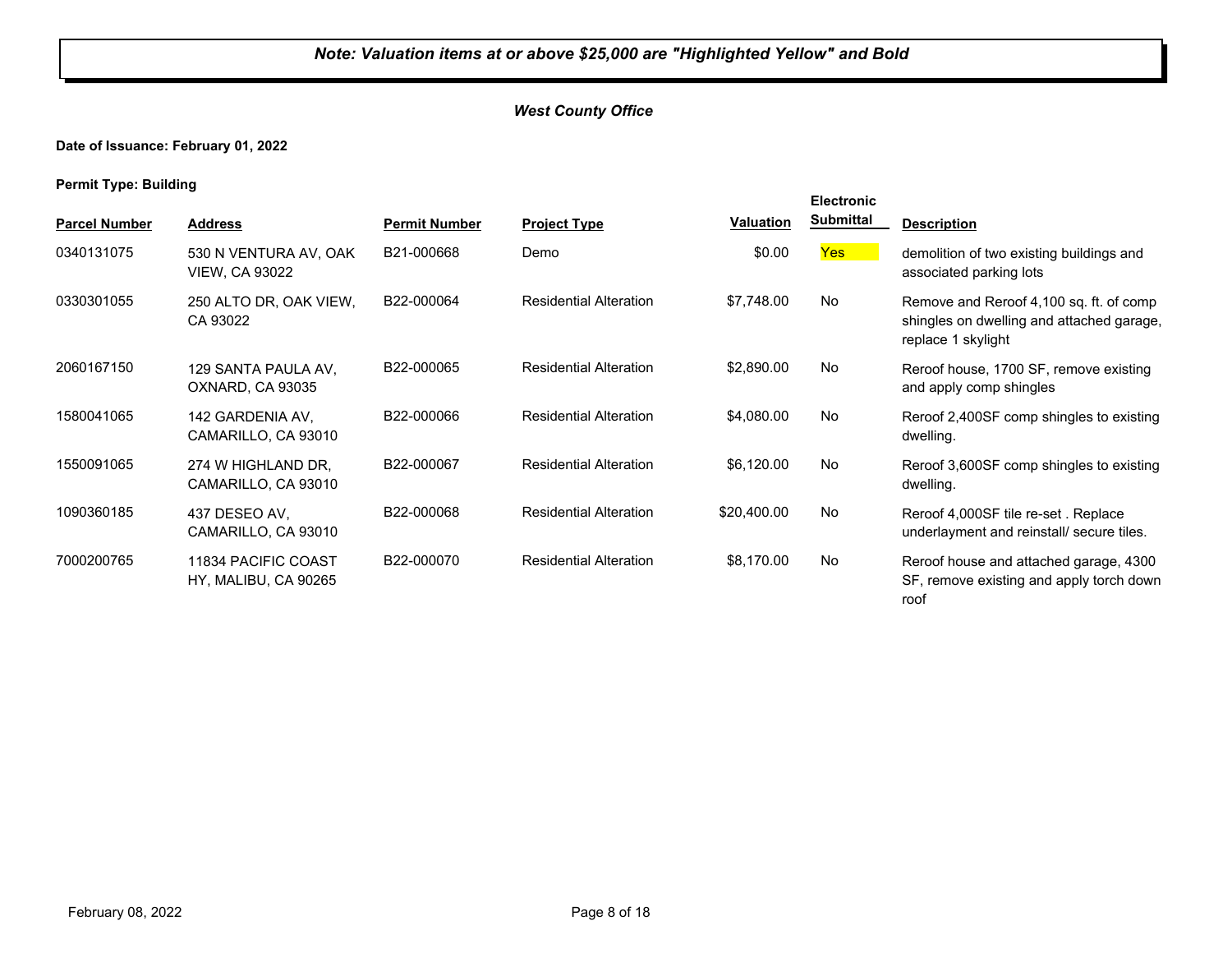## *West County Office*

## **Date of Issuance: February 01, 2022**

**Permit Type: Building**

|                      |                                                |                      |                               |                  | <b>Electronic</b> |                                                                                                            |
|----------------------|------------------------------------------------|----------------------|-------------------------------|------------------|-------------------|------------------------------------------------------------------------------------------------------------|
| <b>Parcel Number</b> | <b>Address</b>                                 | <b>Permit Number</b> | <b>Project Type</b>           | <b>Valuation</b> | <b>Submittal</b>  | <b>Description</b>                                                                                         |
| 0340131075           | 530 N VENTURA AV, OAK<br><b>VIEW, CA 93022</b> | B21-000668           | Demo                          | \$0.00           | Yes               | demolition of two existing buildings and<br>associated parking lots                                        |
| 0330301055           | 250 ALTO DR, OAK VIEW,<br>CA 93022             | B22-000064           | <b>Residential Alteration</b> | \$7,748.00       | No                | Remove and Reroof 4,100 sq. ft. of comp<br>shingles on dwelling and attached garage,<br>replace 1 skylight |
| 2060167150           | 129 SANTA PAULA AV.<br>OXNARD, CA 93035        | B22-000065           | <b>Residential Alteration</b> | \$2,890.00       | No                | Reroof house, 1700 SF, remove existing<br>and apply comp shingles                                          |
| 1580041065           | 142 GARDENIA AV,<br>CAMARILLO, CA 93010        | B22-000066           | <b>Residential Alteration</b> | \$4,080.00       | No                | Reroof 2,400SF comp shingles to existing<br>dwelling.                                                      |
| 1550091065           | 274 W HIGHLAND DR.<br>CAMARILLO, CA 93010      | B22-000067           | <b>Residential Alteration</b> | \$6,120.00       | No                | Reroof 3,600SF comp shingles to existing<br>dwelling.                                                      |
| 1090360185           | 437 DESEO AV.<br>CAMARILLO, CA 93010           | B22-000068           | <b>Residential Alteration</b> | \$20,400.00      | No                | Reroof 4,000SF tile re-set. Replace<br>underlayment and reinstall/ secure tiles.                           |
| 7000200765           | 11834 PACIFIC COAST<br>HY, MALIBU, CA 90265    | B22-000070           | <b>Residential Alteration</b> | \$8,170.00       | No                | Reroof house and attached garage, 4300<br>SF, remove existing and apply torch down<br>roof                 |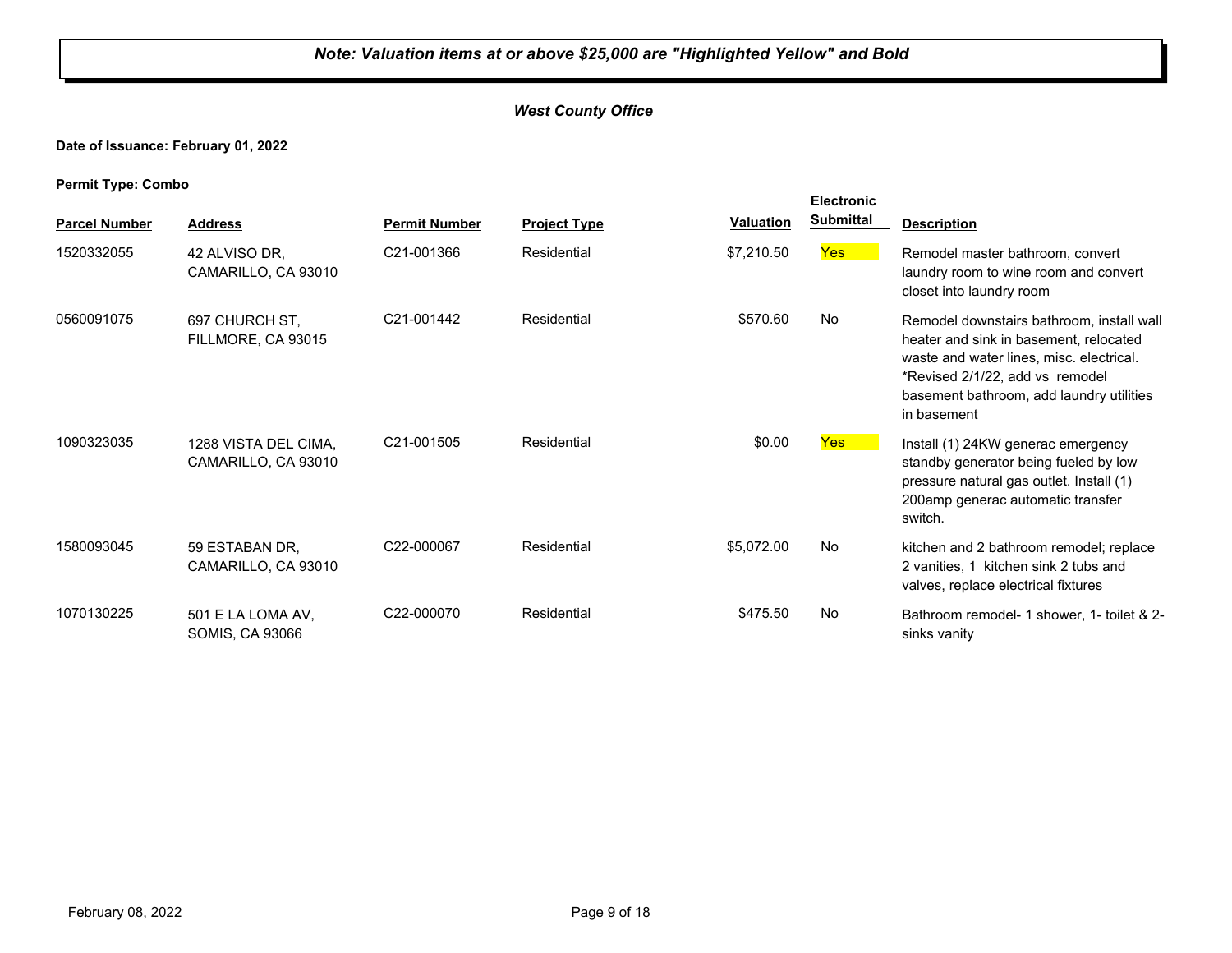## *West County Office*

## **Date of Issuance: February 01, 2022**

|                      |                                             |                      |                     |                  | <b>Electronic</b> |                                                                                                                                                                                                                               |
|----------------------|---------------------------------------------|----------------------|---------------------|------------------|-------------------|-------------------------------------------------------------------------------------------------------------------------------------------------------------------------------------------------------------------------------|
| <b>Parcel Number</b> | <b>Address</b>                              | <b>Permit Number</b> | <b>Project Type</b> | <b>Valuation</b> | <b>Submittal</b>  | <b>Description</b>                                                                                                                                                                                                            |
| 1520332055           | 42 ALVISO DR.<br>CAMARILLO, CA 93010        | C21-001366           | Residential         | \$7,210.50       | Yes               | Remodel master bathroom, convert<br>laundry room to wine room and convert<br>closet into laundry room                                                                                                                         |
| 0560091075           | 697 CHURCH ST,<br>FILLMORE, CA 93015        | C21-001442           | Residential         | \$570.60         | No                | Remodel downstairs bathroom, install wall<br>heater and sink in basement, relocated<br>waste and water lines, misc. electrical.<br>*Revised 2/1/22, add vs remodel<br>basement bathroom, add laundry utilities<br>in basement |
| 1090323035           | 1288 VISTA DEL CIMA,<br>CAMARILLO, CA 93010 | C21-001505           | Residential         | \$0.00           | <b>Yes</b>        | Install (1) 24KW generac emergency<br>standby generator being fueled by low<br>pressure natural gas outlet. Install (1)<br>200amp generac automatic transfer<br>switch.                                                       |
| 1580093045           | 59 ESTABAN DR.<br>CAMARILLO, CA 93010       | C22-000067           | Residential         | \$5,072.00       | No                | kitchen and 2 bathroom remodel; replace<br>2 vanities, 1 kitchen sink 2 tubs and<br>valves, replace electrical fixtures                                                                                                       |
| 1070130225           | 501 E LA LOMA AV,<br>SOMIS, CA 93066        | C22-000070           | Residential         | \$475.50         | No                | Bathroom remodel- 1 shower, 1- toilet & 2-<br>sinks vanity                                                                                                                                                                    |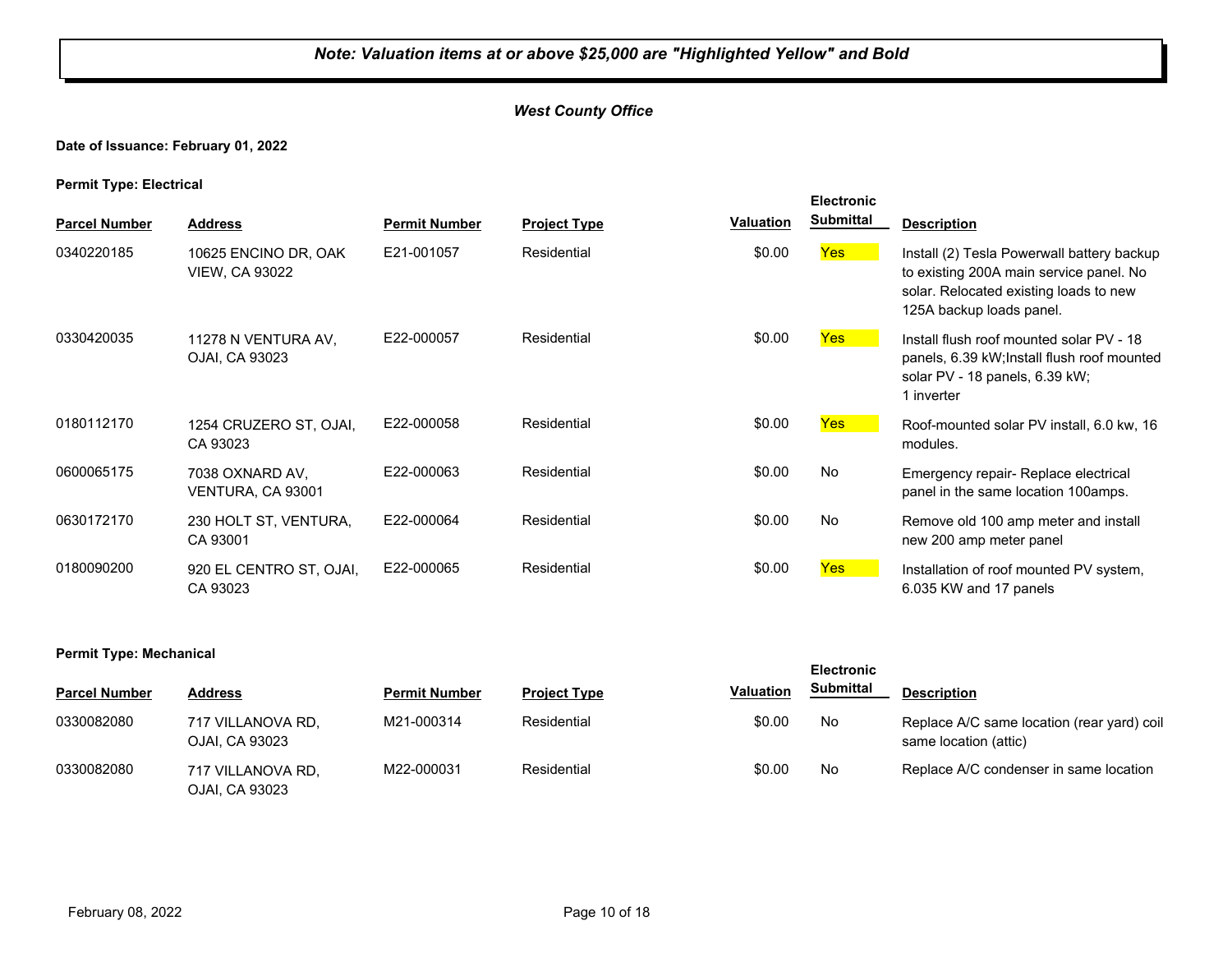## *West County Office*

#### **Date of Issuance: February 01, 2022**

#### **Permit Type: Electrical**

| . .                  |                                               |                      |                     |           | <b>Electronic</b> |                                                                                                                                                             |
|----------------------|-----------------------------------------------|----------------------|---------------------|-----------|-------------------|-------------------------------------------------------------------------------------------------------------------------------------------------------------|
| <b>Parcel Number</b> | <b>Address</b>                                | <b>Permit Number</b> | <b>Project Type</b> | Valuation | <b>Submittal</b>  | <b>Description</b>                                                                                                                                          |
| 0340220185           | 10625 ENCINO DR, OAK<br><b>VIEW, CA 93022</b> | E21-001057           | Residential         | \$0.00    | Yes               | Install (2) Tesla Powerwall battery backup<br>to existing 200A main service panel. No<br>solar. Relocated existing loads to new<br>125A backup loads panel. |
| 0330420035           | 11278 N VENTURA AV,<br>OJAI, CA 93023         | E22-000057           | Residential         | \$0.00    | Yes               | Install flush roof mounted solar PV - 18<br>panels, 6.39 kW; Install flush roof mounted<br>solar PV - 18 panels, 6.39 kW;<br>1 inverter                     |
| 0180112170           | 1254 CRUZERO ST, OJAI,<br>CA 93023            | E22-000058           | Residential         | \$0.00    | <b>Yes</b>        | Roof-mounted solar PV install, 6.0 kw, 16<br>modules.                                                                                                       |
| 0600065175           | 7038 OXNARD AV,<br>VENTURA, CA 93001          | E22-000063           | Residential         | \$0.00    | No                | Emergency repair- Replace electrical<br>panel in the same location 100amps.                                                                                 |
| 0630172170           | 230 HOLT ST, VENTURA,<br>CA 93001             | E22-000064           | Residential         | \$0.00    | No                | Remove old 100 amp meter and install<br>new 200 amp meter panel                                                                                             |
| 0180090200           | 920 EL CENTRO ST, OJAI,<br>CA 93023           | E22-000065           | Residential         | \$0.00    | Yes <sup>1</sup>  | Installation of roof mounted PV system,<br>6.035 KW and 17 panels                                                                                           |

#### **Permit Type: Mechanical**

| <b>Parcel Number</b> | <b>Address</b>                      | <b>Permit Number</b> | <b>Project Type</b> | <b>Valuation</b> | <b>Submittal</b> | <b>Description</b>                                                  |
|----------------------|-------------------------------------|----------------------|---------------------|------------------|------------------|---------------------------------------------------------------------|
| 0330082080           | 717 VILLANOVA RD,<br>OJAI. CA 93023 | M21-000314           | Residential         | \$0.00           | No               | Replace A/C same location (rear yard) coil<br>same location (attic) |
| 0330082080           | 717 VILLANOVA RD,<br>OJAI, CA 93023 | M22-000031           | Residential         | \$0.00           | No               | Replace A/C condenser in same location                              |

**Electronic**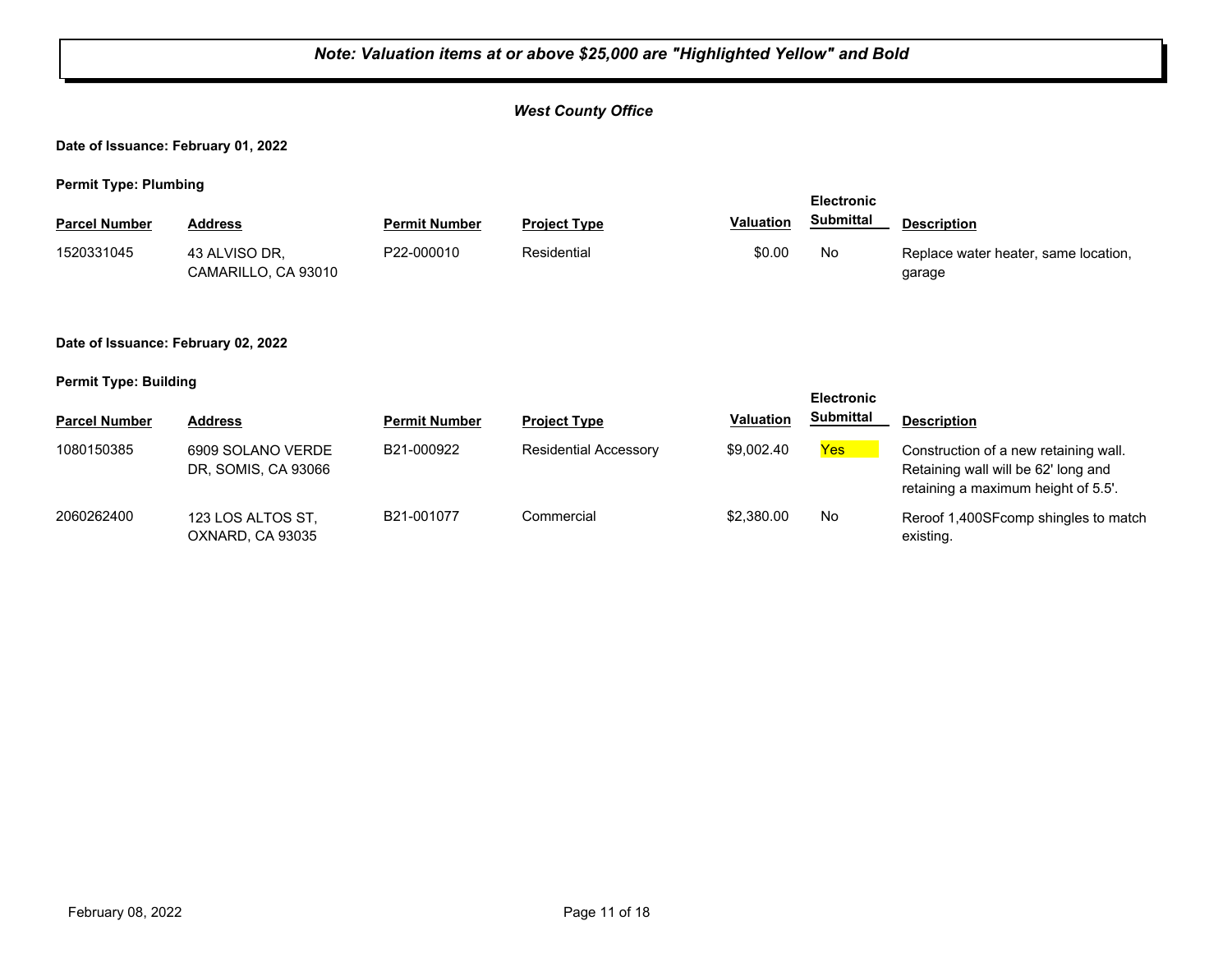## *Note: Valuation items at or above \$25,000 are "Highlighted Yellow" and Bold West County Office* **Date of Issuance: February 01, 2022 Permit Type: Plumbing Parcel Number Address <b>Permit Number Project Type Valuation Submittal** Description **Electronic Submittal** 1520331045 43 ALVISO DR, P22-000010 Residential \$0.00 No CAMARILLO, CA 93010 P22-000010 Residential **Replace Water heater, same location,** \$0.00 No Replace water heater, same location, garage **Date of Issuance: February 02, 2022 Permit Type: Building Parcel Number Address <b>Permit Number Project Type Valuation Submittal** Description **Electronic Submittal** 1080150385 6909 SOLANO VERDE B21-000922 Residential Accessory \$9,002.40 <mark>Yes</mark> DR, SOMIS, CA 93066 B21-000922 Residential Accessory \$9,002.40 Yes Construction of a new retaining wall. Retaining wall will be 62' long and

retaining a maximum height of 5.5'. 2060262400 123 LOS ALTOS ST, B21-001077 Commercial \$2,380.00 No OXNARD, CA 93035 B21-001077 Commercial \$2,380.00 No Reroof 1,400SFcomp shingles to match existing.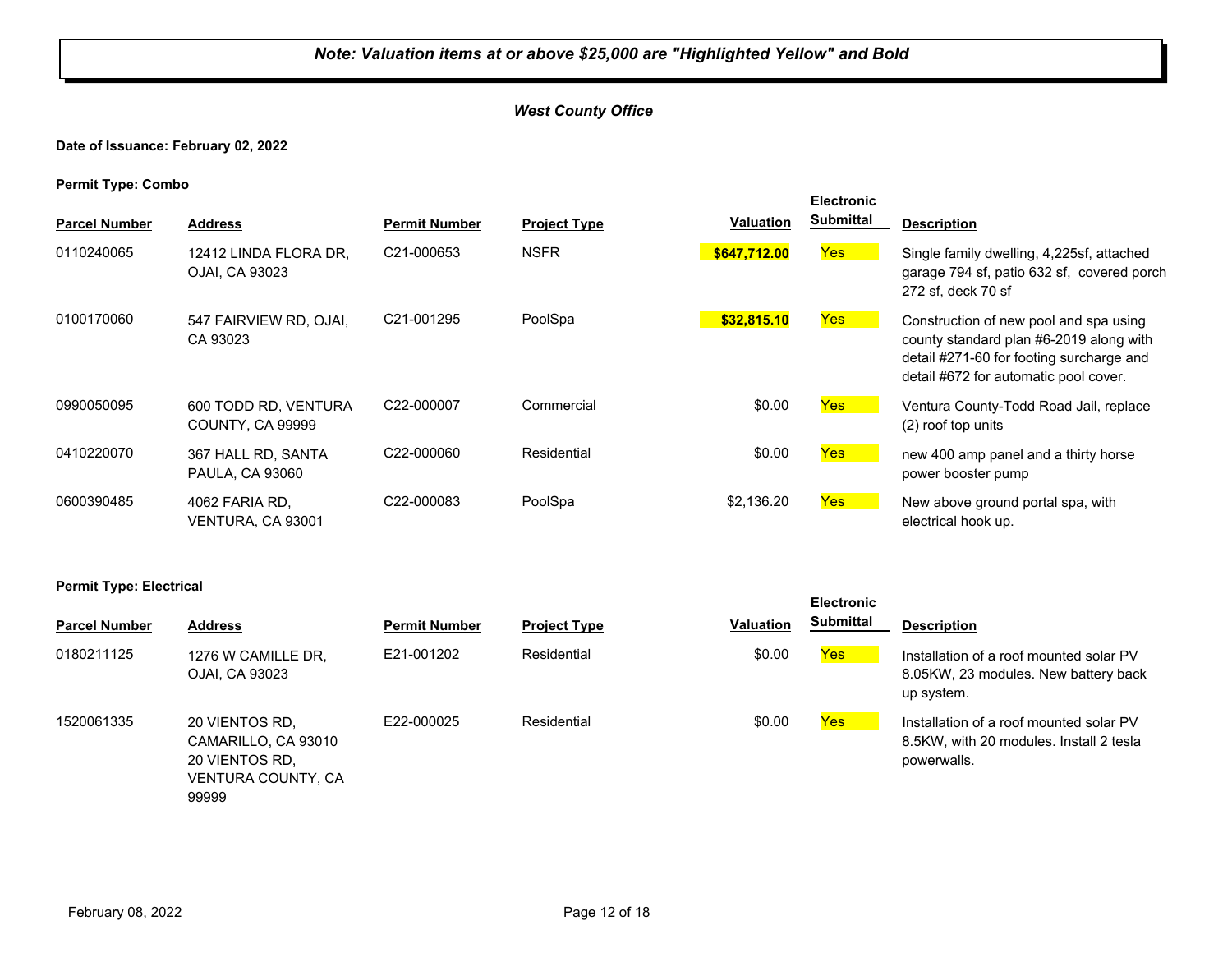## *West County Office*

#### **Date of Issuance: February 02, 2022**

**Permit Type: Combo**

|                      |                                                 |                         |                     | <b>Valuation</b> | <b>Electronic</b><br>Submittal |                                                                                                                                                                        |
|----------------------|-------------------------------------------------|-------------------------|---------------------|------------------|--------------------------------|------------------------------------------------------------------------------------------------------------------------------------------------------------------------|
| <b>Parcel Number</b> | <b>Address</b>                                  | <b>Permit Number</b>    | <b>Project Type</b> |                  |                                | <b>Description</b>                                                                                                                                                     |
| 0110240065           | 12412 LINDA FLORA DR.<br>OJAI, CA 93023         | C21-000653              | <b>NSFR</b>         | \$647,712.00     | Yes                            | Single family dwelling, 4,225sf, attached<br>garage 794 sf, patio 632 sf, covered porch<br>272 sf, deck 70 sf                                                          |
| 0100170060           | 547 FAIRVIEW RD, OJAI,<br>CA 93023              | C <sub>21</sub> -001295 | PoolSpa             | \$32,815.10      | <b>Yes</b>                     | Construction of new pool and spa using<br>county standard plan #6-2019 along with<br>detail #271-60 for footing surcharge and<br>detail #672 for automatic pool cover. |
| 0990050095           | 600 TODD RD. VENTURA<br><b>COUNTY, CA 99999</b> | C22-000007              | Commercial          | \$0.00           | <b>Yes</b>                     | Ventura County-Todd Road Jail, replace<br>(2) roof top units                                                                                                           |
| 0410220070           | 367 HALL RD, SANTA<br><b>PAULA, CA 93060</b>    | C22-000060              | Residential         | \$0.00           | <b>Yes</b>                     | new 400 amp panel and a thirty horse<br>power booster pump                                                                                                             |
| 0600390485           | 4062 FARIA RD.<br>VENTURA, CA 93001             | C22-000083              | PoolSpa             | \$2,136.20       | <b>Yes</b>                     | New above ground portal spa, with<br>electrical hook up.                                                                                                               |

#### **Permit Type: Electrical**

| <b>Parcel Number</b> | <b>Address</b>                                                                                | <b>Permit Number</b> | <b>Project Type</b> | <b>Valuation</b> | <b>Submittal</b> | <b>Description</b>                           |
|----------------------|-----------------------------------------------------------------------------------------------|----------------------|---------------------|------------------|------------------|----------------------------------------------|
| 0180211125           | 1276 W CAMILLE DR.<br>OJAI, CA 93023                                                          | E21-001202           | Residential         | \$0.00           | Yes              | Installation o<br>8.05KW, 23<br>up system.   |
| 1520061335           | 20 VIENTOS RD.<br>CAMARILLO, CA 93010<br>20 VIENTOS RD.<br><b>VENTURA COUNTY, CA</b><br>99999 | E22-000025           | Residential         | \$0.00           | Yes              | Installation o<br>8.5KW, with<br>powerwalls. |

| Permit Number | <b>Project Type</b> | <b>Valuation</b> | <b>Electronic</b><br><b>Submittal</b> | <b>Description</b>                                                                                |
|---------------|---------------------|------------------|---------------------------------------|---------------------------------------------------------------------------------------------------|
| E21-001202    | Residential         | \$0.00           | <b>Yes</b>                            | Installation of a roof mounted solar PV<br>8.05KW, 23 modules. New battery back<br>up system.     |
| E22-000025    | Residential         | \$0.00           | Yes                                   | Installation of a roof mounted solar PV<br>8.5KW, with 20 modules. Install 2 tesla<br>powerwalls. |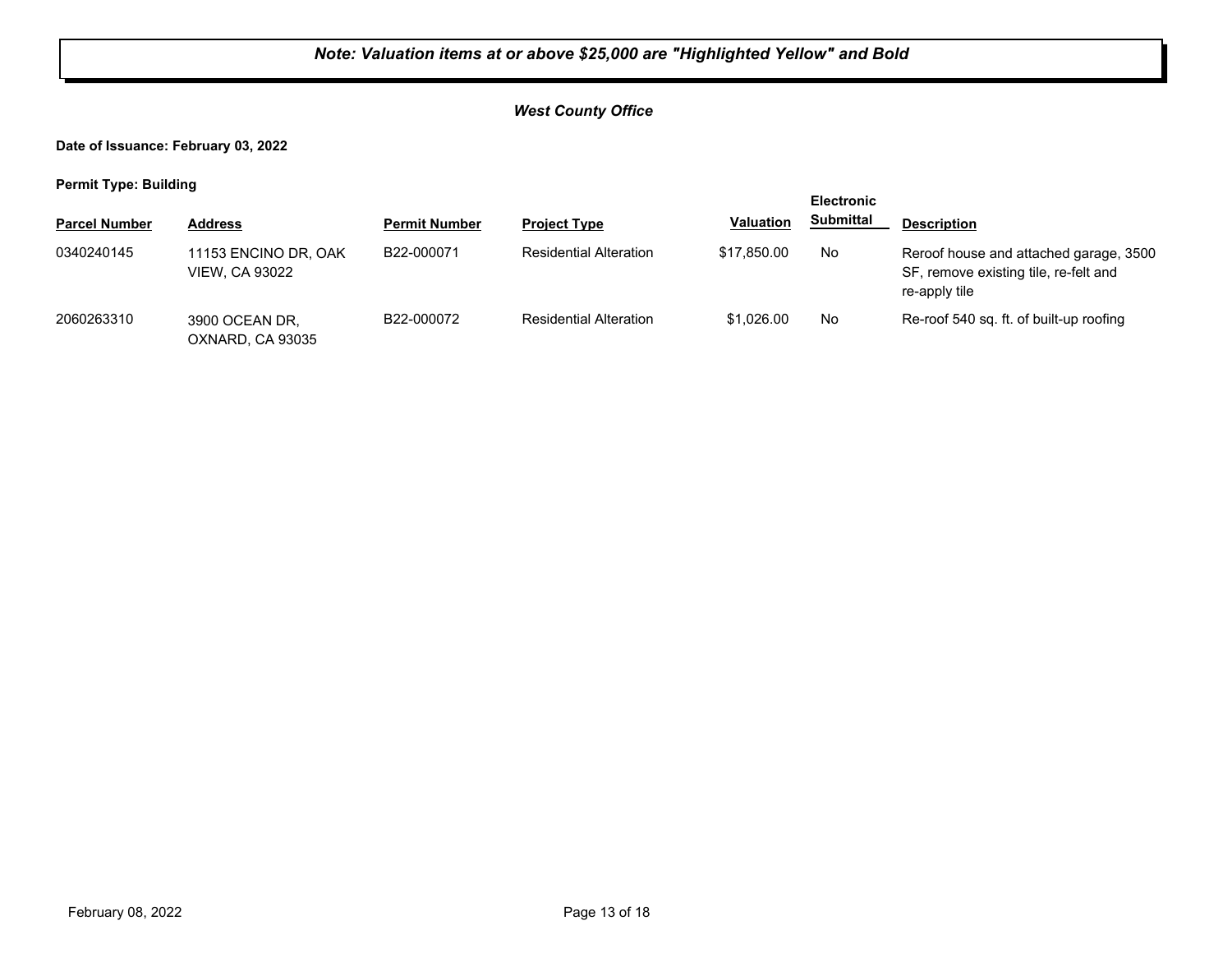## *West County Office*

**Date of Issuance: February 03, 2022**

**Permit Type: Building**

|                      |                                               |                      |                               |                  | <b>Electronic</b> |                                                                                                  |
|----------------------|-----------------------------------------------|----------------------|-------------------------------|------------------|-------------------|--------------------------------------------------------------------------------------------------|
| <b>Parcel Number</b> | <b>Address</b>                                | <b>Permit Number</b> | <b>Project Type</b>           | <b>Valuation</b> | <b>Submittal</b>  | <b>Description</b>                                                                               |
| 0340240145           | 11153 ENCINO DR, OAK<br><b>VIEW. CA 93022</b> | B22-000071           | <b>Residential Alteration</b> | \$17,850,00      | No                | Reroof house and attached garage, 3500<br>SF, remove existing tile, re-felt and<br>re-apply tile |
| 2060263310           | 3900 OCEAN DR,<br>OXNARD, CA 93035            | B22-000072           | <b>Residential Alteration</b> | \$1.026.00       | No                | Re-roof 540 sq. ft. of built-up roofing                                                          |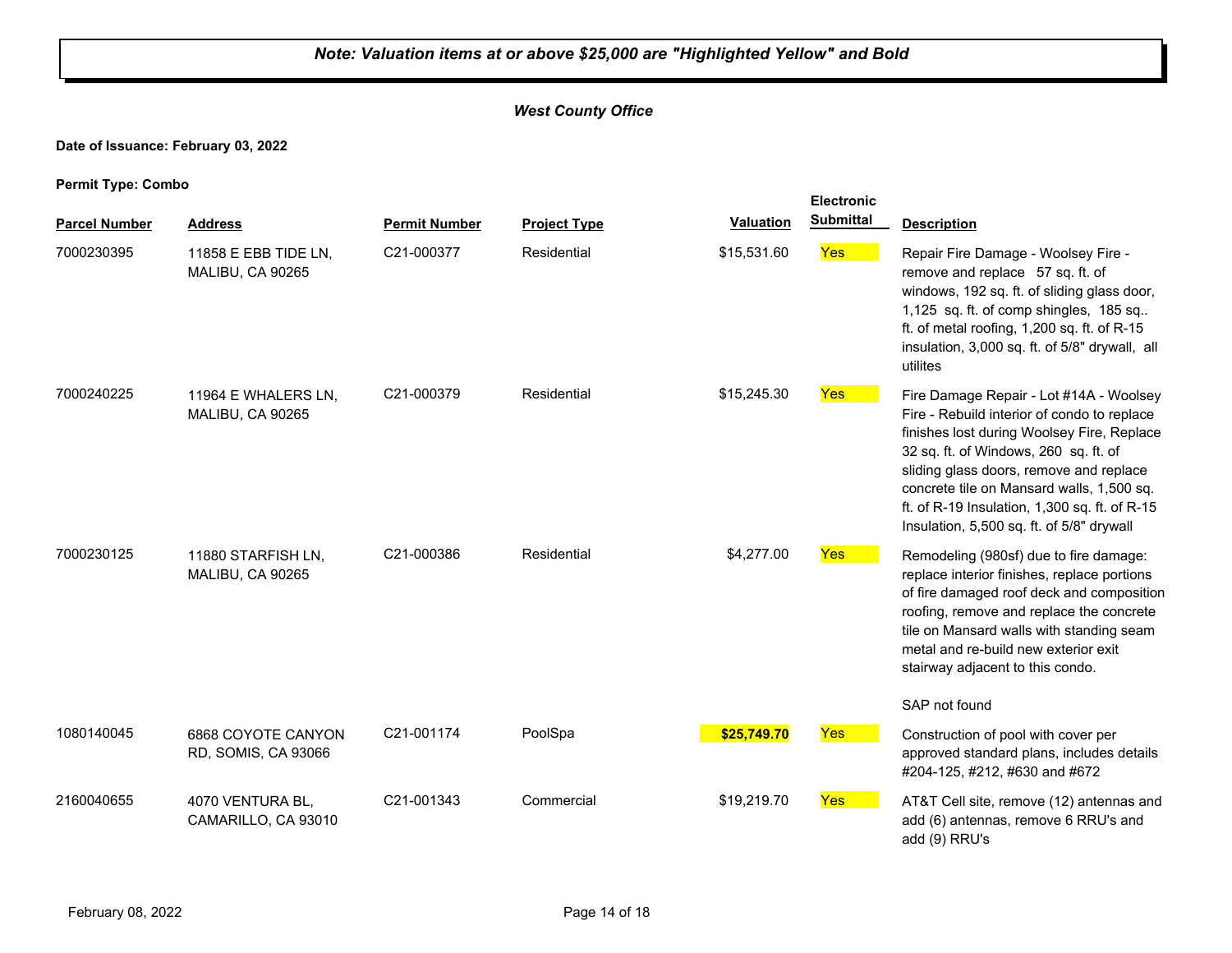## *West County Office*

## **Date of Issuance: February 03, 2022**

|                      |                                           |                      |                     |                  | <b>Electronic</b> |                                                                                                                                                                                                                                                                                                                                                                     |
|----------------------|-------------------------------------------|----------------------|---------------------|------------------|-------------------|---------------------------------------------------------------------------------------------------------------------------------------------------------------------------------------------------------------------------------------------------------------------------------------------------------------------------------------------------------------------|
| <b>Parcel Number</b> | <b>Address</b>                            | <b>Permit Number</b> | <b>Project Type</b> | <b>Valuation</b> | <b>Submittal</b>  | <b>Description</b>                                                                                                                                                                                                                                                                                                                                                  |
| 7000230395           | 11858 E EBB TIDE LN,<br>MALIBU, CA 90265  | C21-000377           | Residential         | \$15,531.60      | <b>Yes</b>        | Repair Fire Damage - Woolsey Fire -<br>remove and replace 57 sq. ft. of<br>windows, 192 sq. ft. of sliding glass door,<br>1,125 sq. ft. of comp shingles, 185 sq<br>ft. of metal roofing, 1,200 sq. ft. of R-15<br>insulation, 3,000 sq. ft. of 5/8" drywall, all<br>utilites                                                                                       |
| 7000240225           | 11964 E WHALERS LN.<br>MALIBU, CA 90265   | C21-000379           | Residential         | \$15,245.30      | <b>Yes</b>        | Fire Damage Repair - Lot #14A - Woolsey<br>Fire - Rebuild interior of condo to replace<br>finishes lost during Woolsey Fire, Replace<br>32 sq. ft. of Windows, 260 sq. ft. of<br>sliding glass doors, remove and replace<br>concrete tile on Mansard walls, 1,500 sq.<br>ft. of R-19 Insulation, 1,300 sq. ft. of R-15<br>Insulation, 5,500 sq. ft. of 5/8" drywall |
| 7000230125           | 11880 STARFISH LN,<br>MALIBU, CA 90265    | C21-000386           | Residential         | \$4,277.00       | Yes               | Remodeling (980sf) due to fire damage:<br>replace interior finishes, replace portions<br>of fire damaged roof deck and composition<br>roofing, remove and replace the concrete<br>tile on Mansard walls with standing seam<br>metal and re-build new exterior exit<br>stairway adjacent to this condo.<br>SAP not found                                             |
| 1080140045           | 6868 COYOTE CANYON<br>RD, SOMIS, CA 93066 | C21-001174           | PoolSpa             | \$25,749.70      | Yes               | Construction of pool with cover per<br>approved standard plans, includes details<br>#204-125, #212, #630 and #672                                                                                                                                                                                                                                                   |
| 2160040655           | 4070 VENTURA BL,<br>CAMARILLO, CA 93010   | C21-001343           | Commercial          | \$19,219.70      | Yes               | AT&T Cell site, remove (12) antennas and<br>add (6) antennas, remove 6 RRU's and<br>add (9) RRU's                                                                                                                                                                                                                                                                   |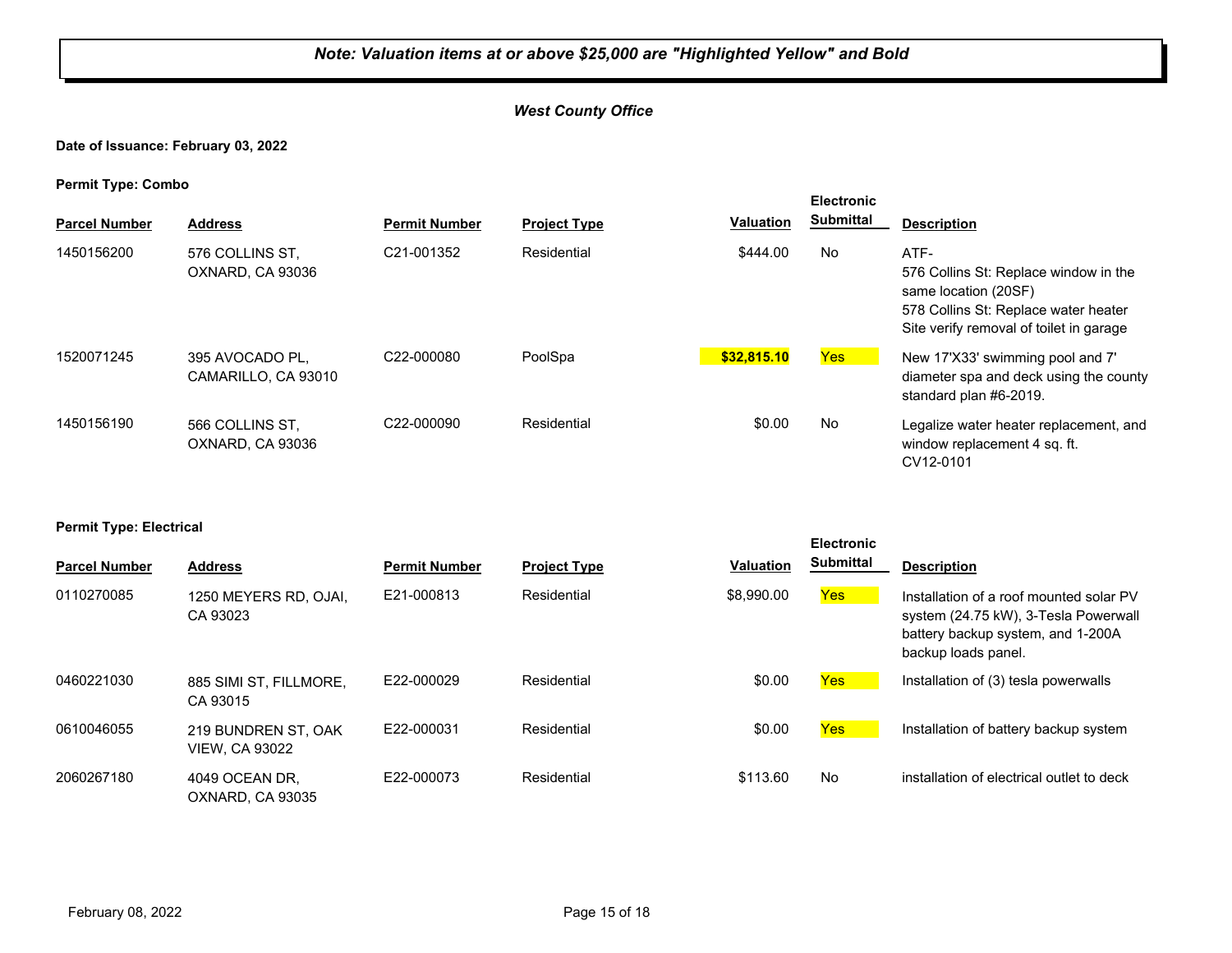## *West County Office*

#### **Date of Issuance: February 03, 2022**

**Permit Type: Combo**

| . .<br><b>Parcel Number</b> | <b>Address</b>                         | <b>Permit Number</b>    | <b>Project Type</b> | <b>Valuation</b> | <b>Electronic</b><br><b>Submittal</b> | <b>Description</b>                                                                                                                                       |
|-----------------------------|----------------------------------------|-------------------------|---------------------|------------------|---------------------------------------|----------------------------------------------------------------------------------------------------------------------------------------------------------|
| 1450156200                  | 576 COLLINS ST.<br>OXNARD, CA 93036    | C21-001352              | Residential         | \$444.00         | No                                    | ATF-<br>576 Collins St: Replace window in the<br>same location (20SF)<br>578 Collins St: Replace water heater<br>Site verify removal of toilet in garage |
| 1520071245                  | 395 AVOCADO PL.<br>CAMARILLO, CA 93010 | C22-000080              | PoolSpa             | \$32,815.10      | <b>Yes</b>                            | New 17'X33' swimming pool and 7'<br>diameter spa and deck using the county<br>standard plan #6-2019.                                                     |
| 1450156190                  | 566 COLLINS ST.<br>OXNARD, CA 93036    | C <sub>22</sub> -000090 | Residential         | \$0.00           | No                                    | Legalize water heater replacement, and<br>window replacement 4 sq. ft.<br>CV12-0101                                                                      |

#### **Permit Type: Electrical**

| <b>Parcel Number</b> | <b>Address</b>                               | <b>Permit Number</b> | <b>Project Type</b> | <b>Valuation</b> | <b>Electronic</b><br><b>Submittal</b> | <b>Description</b>                                                                                                                          |
|----------------------|----------------------------------------------|----------------------|---------------------|------------------|---------------------------------------|---------------------------------------------------------------------------------------------------------------------------------------------|
| 0110270085           | 1250 MEYERS RD, OJAI,<br>CA 93023            | E21-000813           | Residential         | \$8,990.00       | Yes                                   | Installation of a roof mounted solar PV<br>system (24.75 kW), 3-Tesla Powerwall<br>battery backup system, and 1-200A<br>backup loads panel. |
| 0460221030           | 885 SIMI ST. FILLMORE.<br>CA 93015           | E22-000029           | Residential         | \$0.00           | Yes                                   | Installation of (3) tesla powerwalls                                                                                                        |
| 0610046055           | 219 BUNDREN ST. OAK<br><b>VIEW, CA 93022</b> | E22-000031           | Residential         | \$0.00           | Yes                                   | Installation of battery backup system                                                                                                       |
| 2060267180           | 4049 OCEAN DR.<br>OXNARD, CA 93035           | E22-000073           | Residential         | \$113.60         | No                                    | installation of electrical outlet to deck                                                                                                   |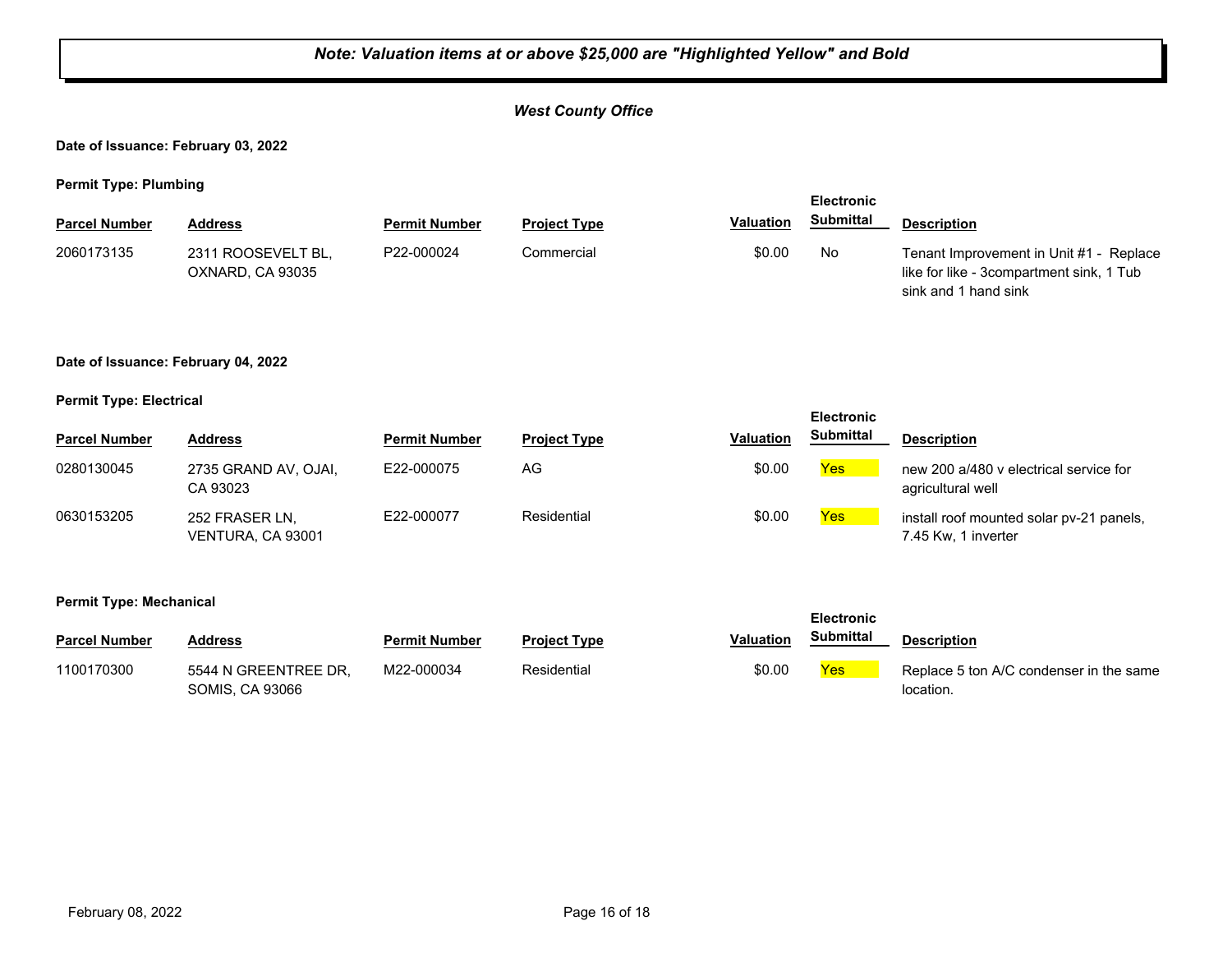## *West County Office*

**Date of Issuance: February 03, 2022**

**Permit Type: Plumbing**

| . .                  |                                        |                      |                     |                  | <b>Electronic</b> |                                                                                                             |
|----------------------|----------------------------------------|----------------------|---------------------|------------------|-------------------|-------------------------------------------------------------------------------------------------------------|
| <b>Parcel Number</b> | Address                                | <b>Permit Number</b> | <b>Project Type</b> | <b>Valuation</b> | Submittal         | <b>Description</b>                                                                                          |
| 2060173135           | 2311 ROOSEVELT BL.<br>OXNARD, CA 93035 | P22-000024           | Commercial          | \$0.00           | No                | Tenant Improvement in Unit #1 - Replace<br>like for like - 3compartment sink, 1 Tub<br>sink and 1 hand sink |

#### **Date of Issuance: February 04, 2022**

#### **Permit Type: Electrical**

|                      |                                     |                      |                     |                  | <b>Electronic</b> |                                                                 |
|----------------------|-------------------------------------|----------------------|---------------------|------------------|-------------------|-----------------------------------------------------------------|
| <b>Parcel Number</b> | <b>Address</b>                      | <b>Permit Number</b> | <b>Project Type</b> | <b>Valuation</b> | <b>Submittal</b>  | <b>Description</b>                                              |
| 0280130045           | 2735 GRAND AV, OJAI,<br>CA 93023    | E22-000075           | AG                  | \$0.00           | <b>Yes</b>        | new 200 a/480 y electrical service for<br>agricultural well     |
| 0630153205           | 252 FRASER LN,<br>VENTURA, CA 93001 | E22-000077           | Residential         | \$0.00           | <b>Yes</b>        | install roof mounted solar pv-21 panels,<br>7.45 Kw, 1 inverter |

#### **Permit Type: Mechanical**

| <b>Parcel Number</b> | Address                                        | <b>Permit Number</b> | <b>Project Type</b> | Valuation | <b>Submittal</b> | <b>Description</b>                                   |
|----------------------|------------------------------------------------|----------------------|---------------------|-----------|------------------|------------------------------------------------------|
| 1100170300           | 5544 N GREENTREE DR.<br><b>SOMIS, CA 93066</b> | M22-000034           | Residential         | \$0.00    | Yes              | Replace 5 ton A/C condenser in the same<br>location. |

**Electronic**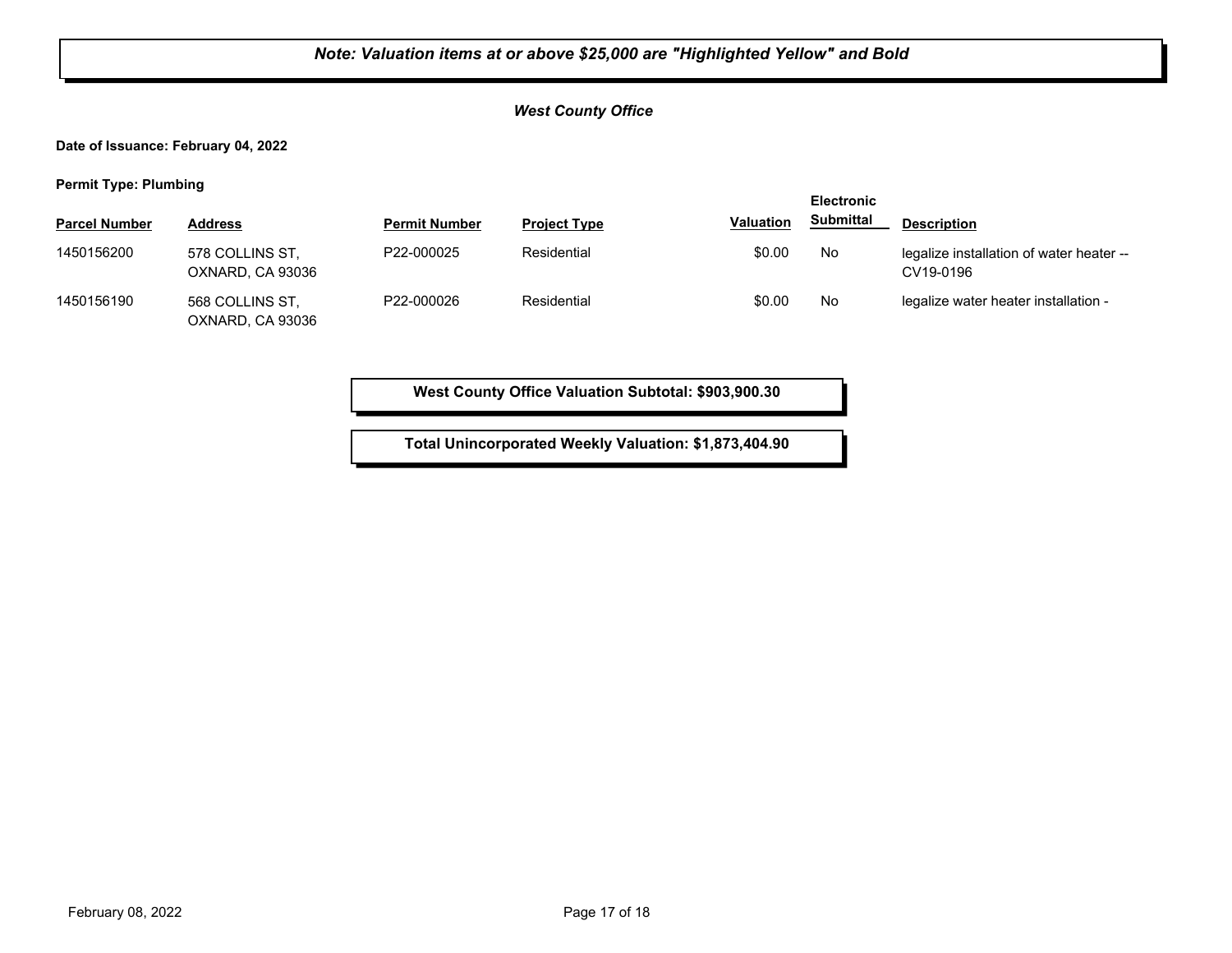## *West County Office*

**Date of Issuance: February 04, 2022**

**Permit Type: Plumbing**

| . .                  |                                     |                      |                     |                  | <b>Electronic</b> |                                                       |
|----------------------|-------------------------------------|----------------------|---------------------|------------------|-------------------|-------------------------------------------------------|
| <b>Parcel Number</b> | <b>Address</b>                      | <b>Permit Number</b> | <b>Project Type</b> | <b>Valuation</b> | <b>Submittal</b>  | <b>Description</b>                                    |
| 1450156200           | 578 COLLINS ST.<br>OXNARD, CA 93036 | P22-000025           | Residential         | \$0.00           | No                | legalize installation of water heater --<br>CV19-0196 |
| 1450156190           | 568 COLLINS ST,<br>OXNARD, CA 93036 | P22-000026           | Residential         | \$0.00           | No                | legalize water heater installation -                  |

**West County Office Valuation Subtotal: \$903,900.30**

**Total Unincorporated Weekly Valuation: \$1,873,404.90**